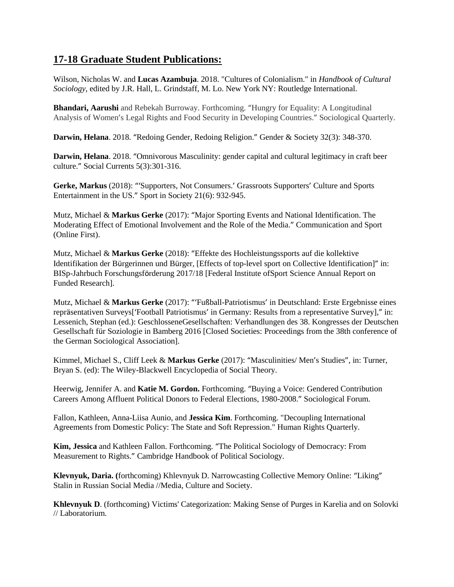## **17-18 Graduate Student Publications:**

Wilson, Nicholas W. and **Lucas Azambuja**. 2018. "Cultures of Colonialism." in *Handbook of Cultural Sociology*, edited by J.R. Hall, L. Grindstaff, M. Lo. New York NY: Routledge International.

**Bhandari, Aarushi** and Rebekah Burroway. Forthcoming. "Hungry for Equality: A Longitudinal Analysis of Women's Legal Rights and Food Security in Developing Countries." Sociological Quarterly.

**Darwin, Helana**. 2018. "Redoing Gender, Redoing Religion." Gender & Society 32(3): 348-370.

**Darwin, Helana**. 2018. "Omnivorous Masculinity: gender capital and cultural legitimacy in craft beer culture." Social Currents 5(3):301-316.

**Gerke, Markus** (2018): "'Supporters, Not Consumers.' Grassroots Supporters' Culture and Sports Entertainment in the US." Sport in Society 21(6): 932-945.

Mutz, Michael & **Markus Gerke** (2017): "Major Sporting Events and National Identification. The Moderating Effect of Emotional Involvement and the Role of the Media." Communication and Sport (Online First).

Mutz, Michael & **Markus Gerke** (2018): "Effekte des Hochleistungssports auf die kollektive Identifikation der Bürgerinnen und Bürger, [Effects of top-level sport on Collective Identification]" in: BISp-Jahrbuch Forschungsförderung 2017/18 [Federal Institute ofSport Science Annual Report on Funded Research].

Mutz, Michael & **Markus Gerke** (2017): "'Fußball-Patriotismus' in Deutschland: Erste Ergebnisse eines repräsentativen Surveys['Football Patriotismus' in Germany: Results from a representative Survey]," in: Lessenich, Stephan (ed.): GeschlosseneGesellschaften: Verhandlungen des 38. Kongresses der Deutschen Gesellschaft für Soziologie in Bamberg 2016 [Closed Societies: Proceedings from the 38th conference of the German Sociological Association].

Kimmel, Michael S., Cliff Leek & **Markus Gerke** (2017): "Masculinities/ Men's Studies", in: Turner, Bryan S. (ed): The Wiley-Blackwell Encyclopedia of Social Theory.

Heerwig, Jennifer A. and **Katie M. Gordon.** Forthcoming. "Buying a Voice: Gendered Contribution Careers Among Affluent Political Donors to Federal Elections, 1980-2008." Sociological Forum.

Fallon, Kathleen, Anna-Liisa Aunio, and **Jessica Kim**. Forthcoming. "Decoupling International Agreements from Domestic Policy: The State and Soft Repression." Human Rights Quarterly.

**Kim, Jessica** and Kathleen Fallon. Forthcoming. "The Political Sociology of Democracy: From Measurement to Rights." Cambridge Handbook of Political Sociology.

**Klevnyuk, Daria. (**forthcoming) Khlevnyuk D. Narrowcasting Collective Memory Online: "Liking" Stalin in Russian Social Media //Media, Culture and Society.

**Khlevnyuk D**. (forthcoming) Victims' Categorization: Making Sense of Purges in Karelia and on Solovki // Laboratorium.